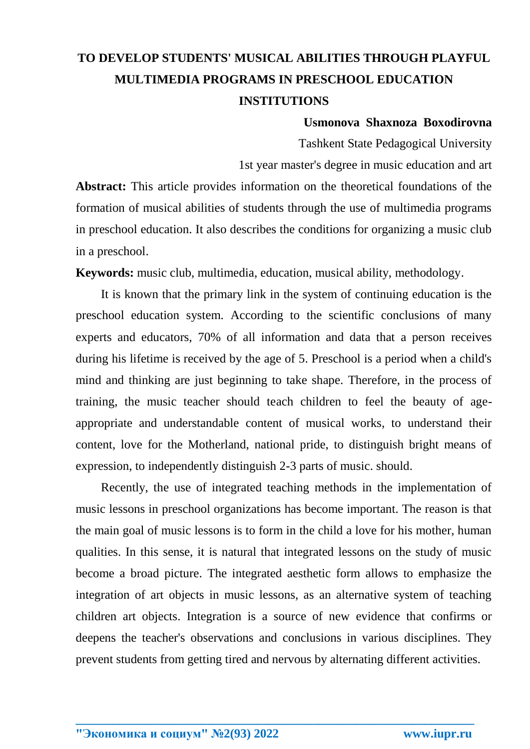## **TO DEVELOP STUDENTS' MUSICAL ABILITIES THROUGH PLAYFUL MULTIMEDIA PROGRAMS IN PRESCHOOL EDUCATION INSTITUTIONS**

## **Usmonova Shaxnoza Boxodirovna**

Tashkent State Pedagogical University

1st year master's degree in music education and art

**Abstract:** This article provides information on the theoretical foundations of the formation of musical abilities of students through the use of multimedia programs in preschool education. It also describes the conditions for organizing a music club in a preschool.

**Keywords:** music club, multimedia, education, musical ability, methodology.

It is known that the primary link in the system of continuing education is the preschool education system. According to the scientific conclusions of many experts and educators, 70% of all information and data that a person receives during his lifetime is received by the age of 5. Preschool is a period when a child's mind and thinking are just beginning to take shape. Therefore, in the process of training, the music teacher should teach children to feel the beauty of ageappropriate and understandable content of musical works, to understand their content, love for the Motherland, national pride, to distinguish bright means of expression, to independently distinguish 2-3 parts of music. should.

Recently, the use of integrated teaching methods in the implementation of music lessons in preschool organizations has become important. The reason is that the main goal of music lessons is to form in the child a love for his mother, human qualities. In this sense, it is natural that integrated lessons on the study of music become a broad picture. The integrated aesthetic form allows to emphasize the integration of art objects in music lessons, as an alternative system of teaching children art objects. Integration is a source of new evidence that confirms or deepens the teacher's observations and conclusions in various disciplines. They prevent students from getting tired and nervous by alternating different activities.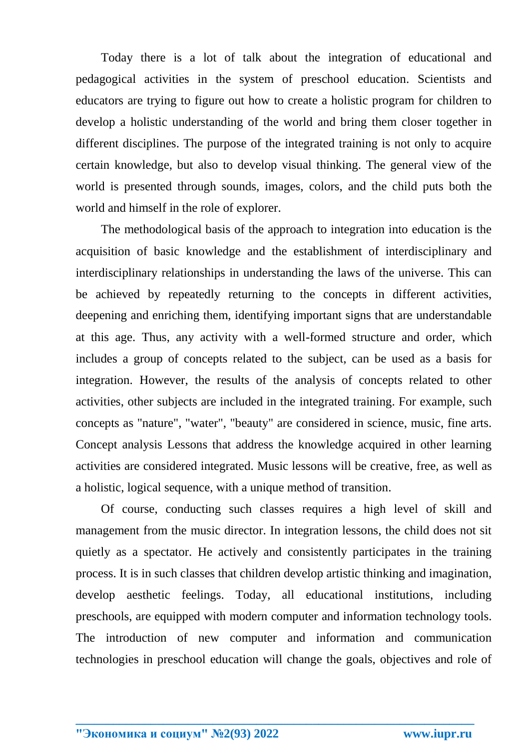Today there is a lot of talk about the integration of educational and pedagogical activities in the system of preschool education. Scientists and educators are trying to figure out how to create a holistic program for children to develop a holistic understanding of the world and bring them closer together in different disciplines. The purpose of the integrated training is not only to acquire certain knowledge, but also to develop visual thinking. The general view of the world is presented through sounds, images, colors, and the child puts both the world and himself in the role of explorer.

The methodological basis of the approach to integration into education is the acquisition of basic knowledge and the establishment of interdisciplinary and interdisciplinary relationships in understanding the laws of the universe. This can be achieved by repeatedly returning to the concepts in different activities, deepening and enriching them, identifying important signs that are understandable at this age. Thus, any activity with a well-formed structure and order, which includes a group of concepts related to the subject, can be used as a basis for integration. However, the results of the analysis of concepts related to other activities, other subjects are included in the integrated training. For example, such concepts as "nature", "water", "beauty" are considered in science, music, fine arts. Concept analysis Lessons that address the knowledge acquired in other learning activities are considered integrated. Music lessons will be creative, free, as well as a holistic, logical sequence, with a unique method of transition.

Of course, conducting such classes requires a high level of skill and management from the music director. In integration lessons, the child does not sit quietly as a spectator. He actively and consistently participates in the training process. It is in such classes that children develop artistic thinking and imagination, develop aesthetic feelings. Today, all educational institutions, including preschools, are equipped with modern computer and information technology tools. The introduction of new computer and information and communication technologies in preschool education will change the goals, objectives and role of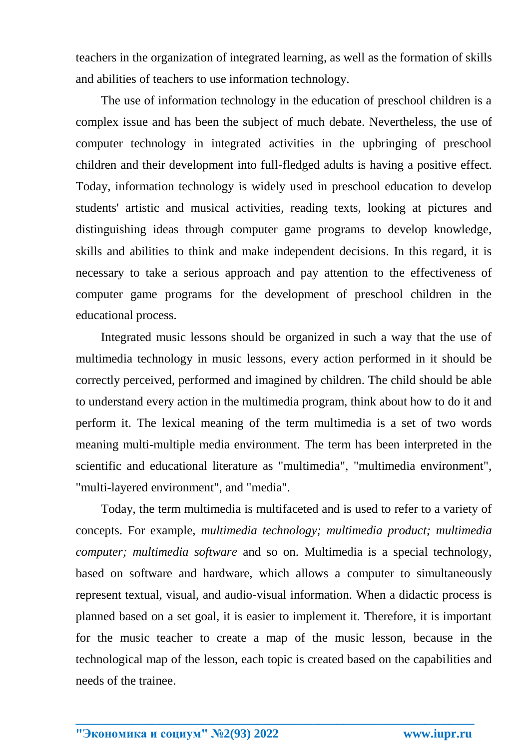teachers in the organization of integrated learning, as well as the formation of skills and abilities of teachers to use information technology.

The use of information technology in the education of preschool children is a complex issue and has been the subject of much debate. Nevertheless, the use of computer technology in integrated activities in the upbringing of preschool children and their development into full-fledged adults is having a positive effect. Today, information technology is widely used in preschool education to develop students' artistic and musical activities, reading texts, looking at pictures and distinguishing ideas through computer game programs to develop knowledge, skills and abilities to think and make independent decisions. In this regard, it is necessary to take a serious approach and pay attention to the effectiveness of computer game programs for the development of preschool children in the educational process.

Integrated music lessons should be organized in such a way that the use of multimedia technology in music lessons, every action performed in it should be correctly perceived, performed and imagined by children. The child should be able to understand every action in the multimedia program, think about how to do it and perform it. The lexical meaning of the term multimedia is a set of two words meaning multi-multiple media environment. The term has been interpreted in the scientific and educational literature as "multimedia", "multimedia environment", "multi-layered environment", and "media".

Today, the term multimedia is multifaceted and is used to refer to a variety of concepts. For example, *multimedia technology; multimedia product; multimedia computer; multimedia software* and so on. Multimedia is a special technology, based on software and hardware, which allows a computer to simultaneously represent textual, visual, and audio-visual information. When a didactic process is planned based on a set goal, it is easier to implement it. Therefore, it is important for the music teacher to create a map of the music lesson, because in the technological map of the lesson, each topic is created based on the capabilities and needs of the trainee.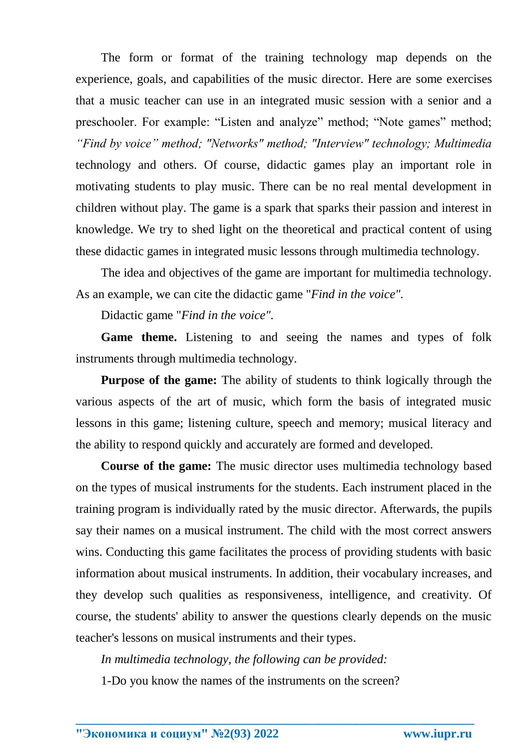The form or format of the training technology map depends on the experience, goals, and capabilities of the music director. Here are some exercises that a music teacher can use in an integrated music session with a senior and a preschooler. For example: "Listen and analyze" method; "Note games" method; *"Find by voice" method; "Networks" method; "Interview" technology; Multimedia* technology and others. Of course, didactic games play an important role in motivating students to play music. There can be no real mental development in children without play. The game is a spark that sparks their passion and interest in knowledge. We try to shed light on the theoretical and practical content of using these didactic games in integrated music lessons through multimedia technology.

The idea and objectives of the game are important for multimedia technology. As an example, we can cite the didactic game "*Find in the voice".*

Didactic game "*Find in the voice".*

**Game theme.** Listening to and seeing the names and types of folk instruments through multimedia technology.

**Purpose of the game:** The ability of students to think logically through the various aspects of the art of music, which form the basis of integrated music lessons in this game; listening culture, speech and memory; musical literacy and the ability to respond quickly and accurately are formed and developed.

**Course of the game:** The music director uses multimedia technology based on the types of musical instruments for the students. Each instrument placed in the training program is individually rated by the music director. Afterwards, the pupils say their names on a musical instrument. The child with the most correct answers wins. Conducting this game facilitates the process of providing students with basic information about musical instruments. In addition, their vocabulary increases, and they develop such qualities as responsiveness, intelligence, and creativity. Of course, the students' ability to answer the questions clearly depends on the music teacher's lessons on musical instruments and their types.

*In multimedia technology, the following can be provided:*

1-Do you know the names of the instruments on the screen?